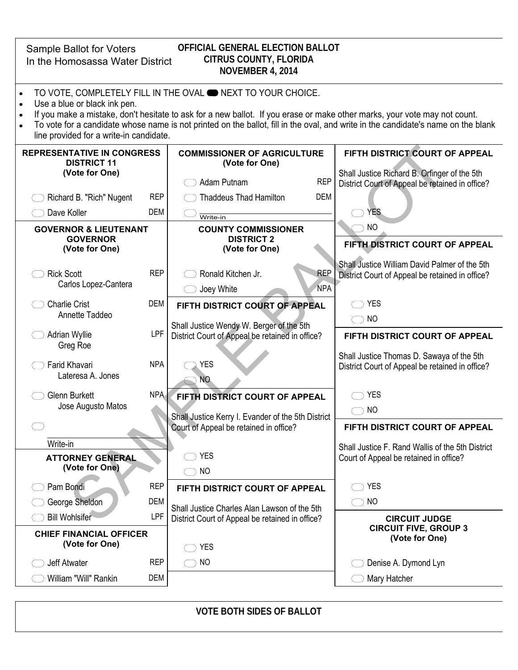Sample Ballot for Voters In the Homosassa Water District

## **OFFICIAL GENERAL ELECTION BALLOT CITRUS COUNTY, FLORIDA NOVEMBER 4, 2014**

- TO VOTE, COMPLETELY FILL IN THE OVAL **ONEXT TO YOUR CHOICE.**
- Use a blue or black ink pen.
- If you make a mistake, don't hesitate to ask for a new ballot. If you erase or make other marks, your vote may not count.
- To vote for a candidate whose name is not printed on the ballot, fill in the oval, and write in the candidate's name on the blank line provided for a write-in candidate.

| (Vote for One)<br>Shall Justice Richard B. Orfinger of the 5th<br><b>REP</b><br>Adam Putnam<br>District Court of Appeal be retained in office?<br><b>REP</b><br><b>DEM</b><br>Richard B. "Rich" Nugent<br><b>Thaddeus Thad Hamilton</b><br>Dave Koller<br><b>DEM</b><br><b>YES</b><br>Write-in<br><b>NO</b><br><b>GOVERNOR &amp; LIEUTENANT</b><br><b>COUNTY COMMISSIONER</b><br><b>GOVERNOR</b><br><b>DISTRICT 2</b><br>FIFTH DISTRICT COURT OF APPEAL<br>(Vote for One)<br>(Vote for One)<br>Shall Justice William David Palmer of the 5th |  |  |
|----------------------------------------------------------------------------------------------------------------------------------------------------------------------------------------------------------------------------------------------------------------------------------------------------------------------------------------------------------------------------------------------------------------------------------------------------------------------------------------------------------------------------------------------|--|--|
|                                                                                                                                                                                                                                                                                                                                                                                                                                                                                                                                              |  |  |
|                                                                                                                                                                                                                                                                                                                                                                                                                                                                                                                                              |  |  |
|                                                                                                                                                                                                                                                                                                                                                                                                                                                                                                                                              |  |  |
|                                                                                                                                                                                                                                                                                                                                                                                                                                                                                                                                              |  |  |
| <b>REP</b><br><b>REP</b><br><b>Rick Scott</b><br>Ronald Kitchen Jr.<br>District Court of Appeal be retained in office?<br>Carlos Lopez-Cantera<br><b>NPA</b><br>Joey White                                                                                                                                                                                                                                                                                                                                                                   |  |  |
| <b>DEM</b><br><b>YES</b><br><b>Charlie Crist</b><br>FIFTH DISTRICT COURT OF APPEAL                                                                                                                                                                                                                                                                                                                                                                                                                                                           |  |  |
| Annette Taddeo<br><b>NO</b><br>Shall Justice Wendy W. Berger of the 5th                                                                                                                                                                                                                                                                                                                                                                                                                                                                      |  |  |
| <b>LPF</b><br><b>Adrian Wyllie</b><br>District Court of Appeal be retained in office?<br>FIFTH DISTRICT COURT OF APPEAL<br>Greg Roe                                                                                                                                                                                                                                                                                                                                                                                                          |  |  |
| Shall Justice Thomas D. Sawaya of the 5th<br><b>NPA</b><br><b>YES</b><br>Farid Khavari<br>District Court of Appeal be retained in office?<br>Lateresa A. Jones<br><b>NO</b>                                                                                                                                                                                                                                                                                                                                                                  |  |  |
| NPA<br><b>YES</b><br><b>Glenn Burkett</b><br>FIFTH DISTRICT COURT OF APPEAL                                                                                                                                                                                                                                                                                                                                                                                                                                                                  |  |  |
| Jose Augusto Matos<br><b>NO</b><br>$\rightarrow$<br>Shall Justice Kerry I. Evander of the 5th District                                                                                                                                                                                                                                                                                                                                                                                                                                       |  |  |
| Court of Appeal be retained in office?<br>FIFTH DISTRICT COURT OF APPEAL                                                                                                                                                                                                                                                                                                                                                                                                                                                                     |  |  |
| Write-in<br>Shall Justice F. Rand Wallis of the 5th District                                                                                                                                                                                                                                                                                                                                                                                                                                                                                 |  |  |
| <b>YES</b><br><b>ATTORNEY GENERAL</b><br>Court of Appeal be retained in office?<br>(Vote for One)                                                                                                                                                                                                                                                                                                                                                                                                                                            |  |  |
| <b>NO</b>                                                                                                                                                                                                                                                                                                                                                                                                                                                                                                                                    |  |  |
| <b>REP</b><br><b>YES</b><br>Pam Bondi<br>FIFTH DISTRICT COURT OF APPEAL                                                                                                                                                                                                                                                                                                                                                                                                                                                                      |  |  |
| <b>DEM</b><br><b>NO</b><br>George Sheldon<br>Shall Justice Charles Alan Lawson of the 5th                                                                                                                                                                                                                                                                                                                                                                                                                                                    |  |  |
| <b>LPF</b><br><b>Bill Wohlsifer</b><br>District Court of Appeal be retained in office?<br><b>CIRCUIT JUDGE</b><br><b>CIRCUIT FIVE, GROUP 3</b>                                                                                                                                                                                                                                                                                                                                                                                               |  |  |
| <b>CHIEF FINANCIAL OFFICER</b><br>(Vote for One)<br>(Vote for One)<br><b>YES</b>                                                                                                                                                                                                                                                                                                                                                                                                                                                             |  |  |
| <b>REP</b><br>$\bigcirc$ NO<br>Jeff Atwater<br>Denise A. Dymond Lyn                                                                                                                                                                                                                                                                                                                                                                                                                                                                          |  |  |
| DEM<br>William "Will" Rankin<br>Mary Hatcher                                                                                                                                                                                                                                                                                                                                                                                                                                                                                                 |  |  |

**VOTE BOTH SIDES OF BALLOT**